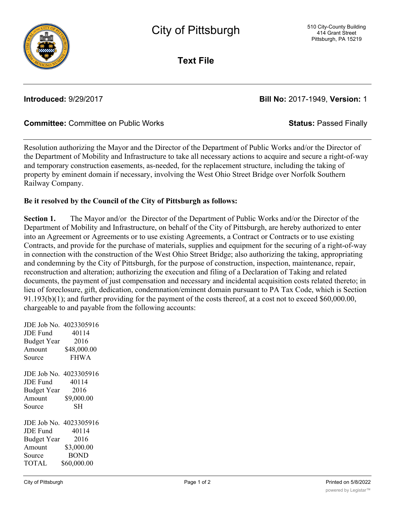

**Text File**

## **Introduced:** 9/29/2017 **Bill No:** 2017-1949, **Version:** 1

## **Committee:** Committee on Public Works **Status:** Passed Finally

Resolution authorizing the Mayor and the Director of the Department of Public Works and/or the Director of the Department of Mobility and Infrastructure to take all necessary actions to acquire and secure a right-of-way and temporary construction easements, as-needed, for the replacement structure, including the taking of property by eminent domain if necessary, involving the West Ohio Street Bridge over Norfolk Southern Railway Company.

## **Be it resolved by the Council of the City of Pittsburgh as follows:**

**Section 1.** The Mayor and/or the Director of the Department of Public Works and/or the Director of the Department of Mobility and Infrastructure, on behalf of the City of Pittsburgh, are hereby authorized to enter into an Agreement or Agreements or to use existing Agreements, a Contract or Contracts or to use existing Contracts, and provide for the purchase of materials, supplies and equipment for the securing of a right-of-way in connection with the construction of the West Ohio Street Bridge; also authorizing the taking, appropriating and condemning by the City of Pittsburgh, for the purpose of construction, inspection, maintenance, repair, reconstruction and alteration; authorizing the execution and filing of a Declaration of Taking and related documents, the payment of just compensation and necessary and incidental acquisition costs related thereto; in lieu of foreclosure, gift, dedication, condemnation/eminent domain pursuant to PA Tax Code, which is Section 91.193(b)(1); and further providing for the payment of the costs thereof, at a cost not to exceed \$60,000.00, chargeable to and payable from the following accounts:

|                    | JDE Job No. 4023305916 |
|--------------------|------------------------|
| <b>JDE Fund</b>    | 40114                  |
| <b>Budget Year</b> | 2016                   |
| Amount             | \$48,000.00            |
| Source             | <b>FHWA</b>            |
|                    | JDE Job No. 4023305916 |
| JDE Fund           | 40114                  |
| <b>Budget Year</b> | 2016                   |
| Amount             | \$9,000.00             |
| Source             | SН                     |
|                    | JDE Job No. 4023305916 |
| JDE Fund           | 40114                  |
| <b>Budget Year</b> | 2016                   |
| Amount             | \$3,000.00             |
| Source             | <b>BOND</b>            |
| TOTAL              | \$60,000.00            |
|                    |                        |